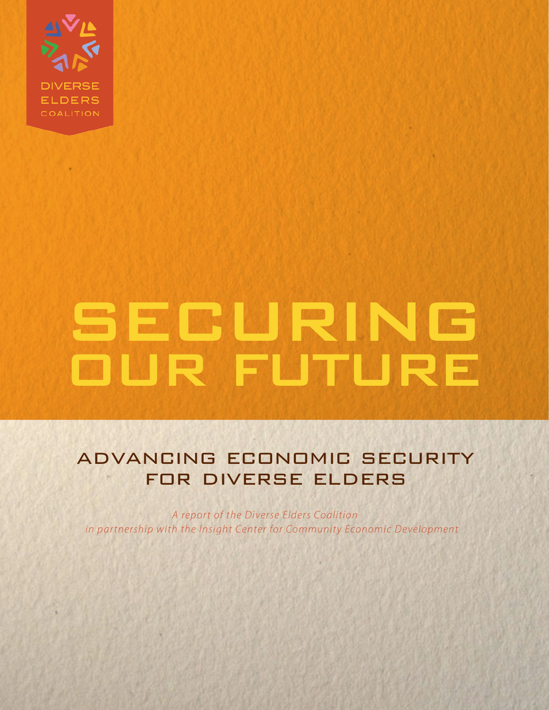

# SECURING **OUR FUTURE**

# advancing economic security for diverse elders

*A report of the Diverse Elders Coalition in partnership with the Insight Center for Community Economic Development*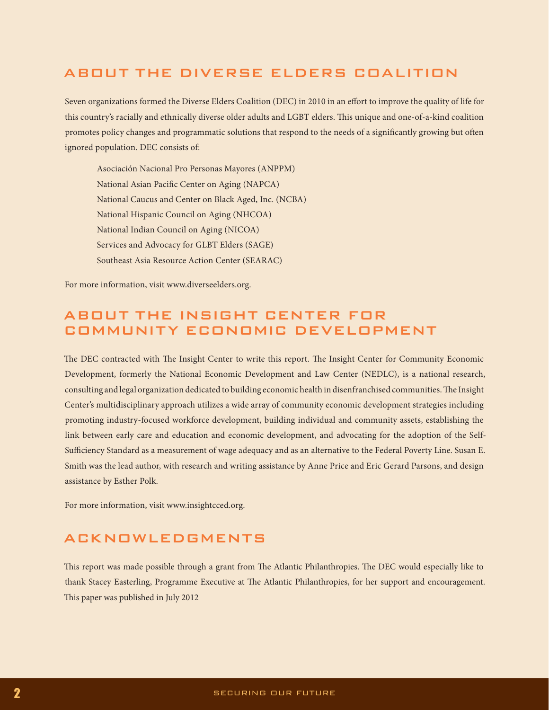# ABOUT THE DIVERSE ELDERS COALITION

Seven organizations formed the Diverse Elders Coalition (DEC) in 2010 in an effort to improve the quality of life for this country's racially and ethnically diverse older adults and LGBT elders. This unique and one-of-a-kind coalition promotes policy changes and programmatic solutions that respond to the needs of a significantly growing but often ignored population. DEC consists of:

Asociación Nacional Pro Personas Mayores (ANPPM) National Asian Pacific Center on Aging (NAPCA) National Caucus and Center on Black Aged, Inc. (NCBA) National Hispanic Council on Aging (NHCOA) National Indian Council on Aging (NICOA) Services and Advocacy for GLBT Elders (SAGE) Southeast Asia Resource Action Center (SEARAC)

For more information, visit www.diverseelders.org.

# ABOUT THE INSIGHT CENTER FOR COMMUNITY ECONOMIC DEVELOPMENT

The DEC contracted with The Insight Center to write this report. The Insight Center for Community Economic Development, formerly the National Economic Development and Law Center (NEDLC), is a national research, consulting and legal organization dedicated to building economic health in disenfranchised communities. The Insight Center's multidisciplinary approach utilizes a wide array of community economic development strategies including promoting industry-focused workforce development, building individual and community assets, establishing the link between early care and education and economic development, and advocating for the adoption of the Self-Sufficiency Standard as a measurement of wage adequacy and as an alternative to the Federal Poverty Line. Susan E. Smith was the lead author, with research and writing assistance by Anne Price and Eric Gerard Parsons, and design assistance by Esther Polk.

For more information, visit www.insightcced.org.

# ACKNOWLEDGMENTS

This report was made possible through a grant from The Atlantic Philanthropies. The DEC would especially like to thank Stacey Easterling, Programme Executive at The Atlantic Philanthropies, for her support and encouragement. This paper was published in July 2012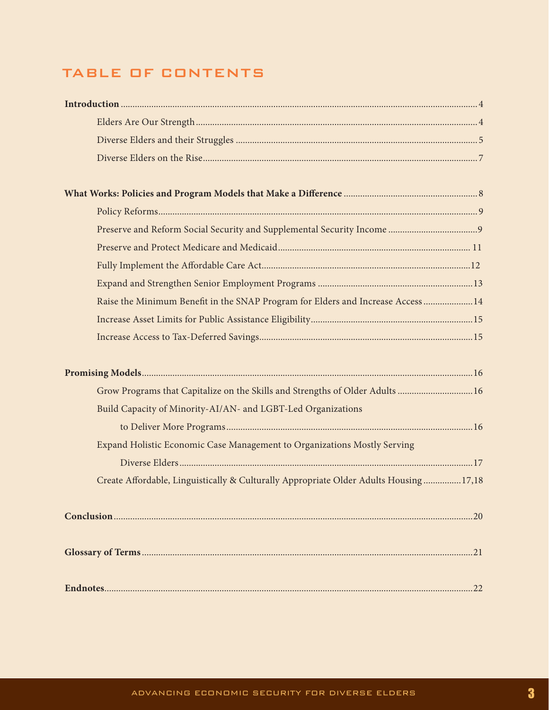# TABLE OF CONTENTS

| Raise the Minimum Benefit in the SNAP Program for Elders and Increase Access 14       |  |
|---------------------------------------------------------------------------------------|--|
|                                                                                       |  |
|                                                                                       |  |
|                                                                                       |  |
|                                                                                       |  |
| Grow Programs that Capitalize on the Skills and Strengths of Older Adults 16          |  |
| Build Capacity of Minority-AI/AN- and LGBT-Led Organizations                          |  |
|                                                                                       |  |
| Expand Holistic Economic Case Management to Organizations Mostly Serving              |  |
|                                                                                       |  |
| Create Affordable, Linguistically & Culturally Appropriate Older Adults Housing 17,18 |  |
|                                                                                       |  |
|                                                                                       |  |
|                                                                                       |  |
|                                                                                       |  |
|                                                                                       |  |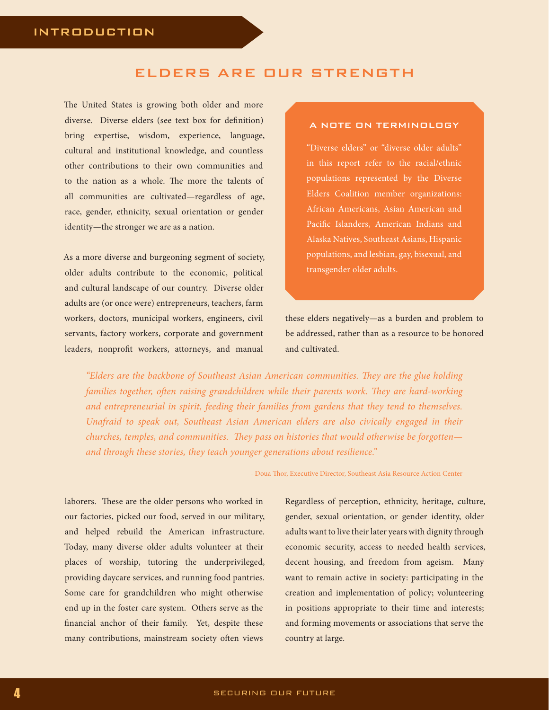# ELDERS ARE OUR STRENGTH

The United States is growing both older and more diverse. Diverse elders (see text box for definition) bring expertise, wisdom, experience, language, cultural and institutional knowledge, and countless other contributions to their own communities and to the nation as a whole. The more the talents of all communities are cultivated—regardless of age, race, gender, ethnicity, sexual orientation or gender identity—the stronger we are as a nation.

As a more diverse and burgeoning segment of society, older adults contribute to the economic, political and cultural landscape of our country. Diverse older adults are (or once were) entrepreneurs, teachers, farm workers, doctors, municipal workers, engineers, civil servants, factory workers, corporate and government leaders, nonprofit workers, attorneys, and manual

### A NOTE ON TERMINOLOGY

"Diverse elders" or "diverse older adults" in this report refer to the racial/ethnic populations represented by the Diverse Elders Coalition member organizations: African Americans, Asian American and Pacific Islanders, American Indians and Alaska Natives, Southeast Asians, Hispanic populations, and lesbian, gay, bisexual, and transgender older adults.

these elders negatively—as a burden and problem to be addressed, rather than as a resource to be honored and cultivated.

*"Elders are the backbone of Southeast Asian American communities. They are the glue holding families together, often raising grandchildren while their parents work. They are hard-working and entrepreneurial in spirit, feeding their families from gardens that they tend to themselves. Unafraid to speak out, Southeast Asian American elders are also civically engaged in their churches, temples, and communities. They pass on histories that would otherwise be forgotten and through these stories, they teach younger generations about resilience."* 

- Doua Thor, Executive Director, Southeast Asia Resource Action Center

laborers. These are the older persons who worked in our factories, picked our food, served in our military, and helped rebuild the American infrastructure. Today, many diverse older adults volunteer at their places of worship, tutoring the underprivileged, providing daycare services, and running food pantries. Some care for grandchildren who might otherwise end up in the foster care system. Others serve as the financial anchor of their family. Yet, despite these many contributions, mainstream society often views

Regardless of perception, ethnicity, heritage, culture, gender, sexual orientation, or gender identity, older adults want to live their later years with dignity through economic security, access to needed health services, decent housing, and freedom from ageism. Many want to remain active in society: participating in the creation and implementation of policy; volunteering in positions appropriate to their time and interests; and forming movements or associations that serve the country at large.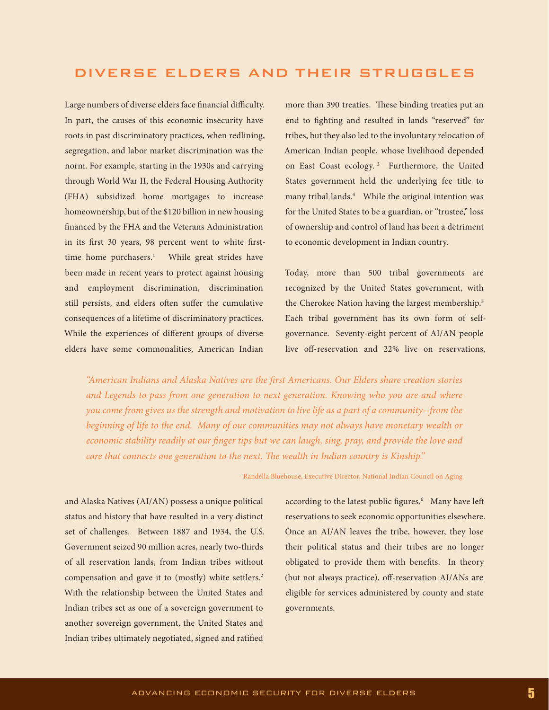# DIVERSE ELDERS AND THEIR STRUGGLES

Large numbers of diverse elders face financial difficulty. In part, the causes of this economic insecurity have roots in past discriminatory practices, when redlining, segregation, and labor market discrimination was the norm. For example, starting in the 1930s and carrying through World War II, the Federal Housing Authority (FHA) subsidized home mortgages to increase homeownership, but of the \$120 billion in new housing financed by the FHA and the Veterans Administration in its first 30 years, 98 percent went to white firsttime home purchasers.<sup>1</sup> While great strides have been made in recent years to protect against housing and employment discrimination, discrimination still persists, and elders often suffer the cumulative consequences of a lifetime of discriminatory practices. While the experiences of different groups of diverse elders have some commonalities, American Indian

more than 390 treaties. These binding treaties put an end to fighting and resulted in lands "reserved" for tribes, but they also led to the involuntary relocation of American Indian people, whose livelihood depended on East Coast ecology. 3 Furthermore, the United States government held the underlying fee title to many tribal lands.4 While the original intention was for the United States to be a guardian, or "trustee," loss of ownership and control of land has been a detriment to economic development in Indian country.

Today, more than 500 tribal governments are recognized by the United States government, with the Cherokee Nation having the largest membership.<sup>5</sup> Each tribal government has its own form of selfgovernance. Seventy-eight percent of AI/AN people live off-reservation and 22% live on reservations,

*"American Indians and Alaska Natives are the first Americans. Our Elders share creation stories and Legends to pass from one generation to next generation. Knowing who you are and where you come from gives us the strength and motivation to live life as a part of a community--from the beginning of life to the end. Many of our communities may not always have monetary wealth or economic stability readily at our finger tips but we can laugh, sing, pray, and provide the love and care that connects one generation to the next. The wealth in Indian country is Kinship."* 

- Randella Bluehouse, Executive Director, National Indian Council on Aging

and Alaska Natives (AI/AN) possess a unique political status and history that have resulted in a very distinct set of challenges. Between 1887 and 1934, the U.S. Government seized 90 million acres, nearly two-thirds of all reservation lands, from Indian tribes without compensation and gave it to (mostly) white settlers.<sup>2</sup> With the relationship between the United States and Indian tribes set as one of a sovereign government to another sovereign government, the United States and Indian tribes ultimately negotiated, signed and ratified

according to the latest public figures.<sup>6</sup> Many have left reservations to seek economic opportunities elsewhere. Once an AI/AN leaves the tribe, however, they lose their political status and their tribes are no longer obligated to provide them with benefits. In theory (but not always practice), off-reservation AI/ANs are eligible for services administered by county and state governments.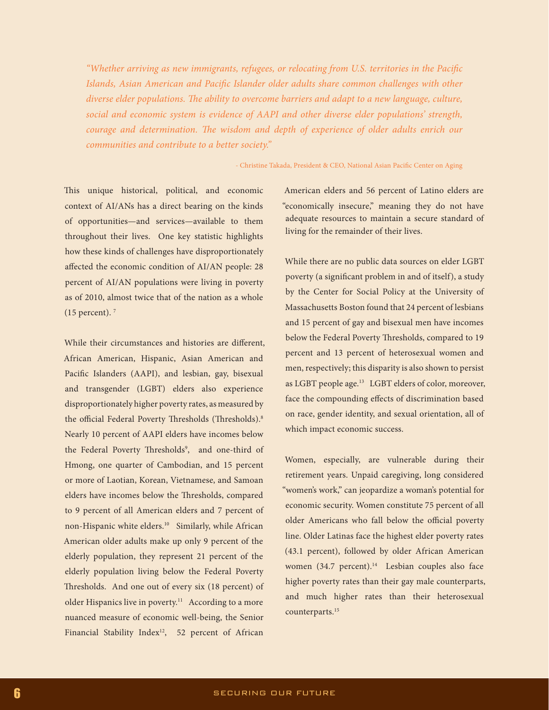*"Whether arriving as new immigrants, refugees, or relocating from U.S. territories in the Pacific Islands, Asian American and Pacific Islander older adults share common challenges with other diverse elder populations. The ability to overcome barriers and adapt to a new language, culture, social and economic system is evidence of AAPI and other diverse elder populations' strength, courage and determination. The wisdom and depth of experience of older adults enrich our communities and contribute to a better society."* 

- Christine Takada, President & CEO, National Asian Pacific Center on Aging

This unique historical, political, and economic context of AI/ANs has a direct bearing on the kinds of opportunities—and services—available to them throughout their lives. One key statistic highlights how these kinds of challenges have disproportionately affected the economic condition of AI/AN people: 28 percent of AI/AN populations were living in poverty as of 2010, almost twice that of the nation as a whole  $(15$  percent).  $7$ 

While their circumstances and histories are different, African American, Hispanic, Asian American and Pacific Islanders (AAPI), and lesbian, gay, bisexual and transgender (LGBT) elders also experience disproportionately higher poverty rates, as measured by the official Federal Poverty Thresholds (Thresholds).<sup>8</sup> Nearly 10 percent of AAPI elders have incomes below the Federal Poverty Thresholds<sup>9</sup>, and one-third of Hmong, one quarter of Cambodian, and 15 percent or more of Laotian, Korean, Vietnamese, and Samoan elders have incomes below the Thresholds, compared to 9 percent of all American elders and 7 percent of non-Hispanic white elders.<sup>10</sup> Similarly, while African American older adults make up only 9 percent of the elderly population, they represent 21 percent of the elderly population living below the Federal Poverty Thresholds. And one out of every six (18 percent) of older Hispanics live in poverty.<sup>11</sup> According to a more nuanced measure of economic well-being, the Senior Financial Stability Index<sup>12</sup>, 52 percent of African

American elders and 56 percent of Latino elders are "economically insecure," meaning they do not have adequate resources to maintain a secure standard of living for the remainder of their lives.

While there are no public data sources on elder LGBT poverty (a significant problem in and of itself), a study by the Center for Social Policy at the University of Massachusetts Boston found that 24 percent of lesbians and 15 percent of gay and bisexual men have incomes below the Federal Poverty Thresholds, compared to 19 percent and 13 percent of heterosexual women and men, respectively; this disparity is also shown to persist as LGBT people age.<sup>13</sup> LGBT elders of color, moreover, face the compounding effects of discrimination based on race, gender identity, and sexual orientation, all of which impact economic success.

Women, especially, are vulnerable during their retirement years. Unpaid caregiving, long considered "women's work," can jeopardize a woman's potential for economic security. Women constitute 75 percent of all older Americans who fall below the official poverty line. Older Latinas face the highest elder poverty rates (43.1 percent), followed by older African American women (34.7 percent).<sup>14</sup> Lesbian couples also face higher poverty rates than their gay male counterparts, and much higher rates than their heterosexual counterparts.15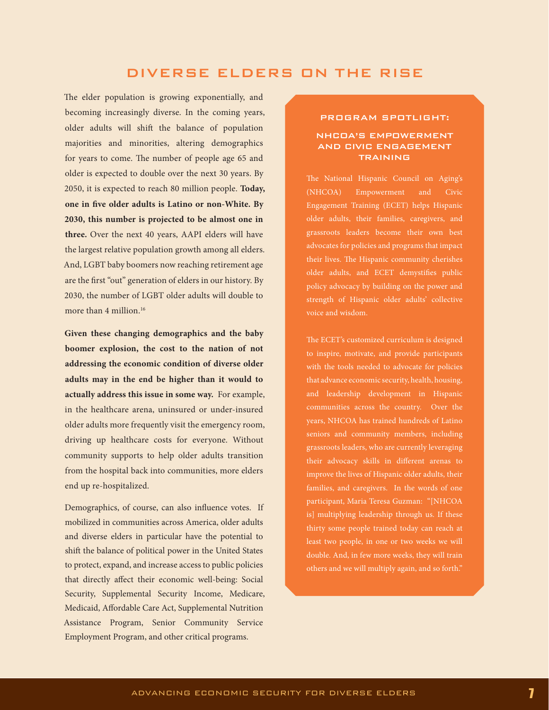# DIVERSE ELDERS ON THE RISE

The elder population is growing exponentially, and becoming increasingly diverse. In the coming years, older adults will shift the balance of population majorities and minorities, altering demographics for years to come. The number of people age 65 and older is expected to double over the next 30 years. By 2050, it is expected to reach 80 million people. **Today, one in five older adults is Latino or non-White. By 2030, this number is projected to be almost one in three.** Over the next 40 years, AAPI elders will have the largest relative population growth among all elders. And, LGBT baby boomers now reaching retirement age are the first "out" generation of elders in our history. By 2030, the number of LGBT older adults will double to more than 4 million.<sup>16</sup>

**Given these changing demographics and the baby boomer explosion, the cost to the nation of not addressing the economic condition of diverse older adults may in the end be higher than it would to actually address this issue in some way.** For example, in the healthcare arena, uninsured or under-insured older adults more frequently visit the emergency room, driving up healthcare costs for everyone. Without community supports to help older adults transition from the hospital back into communities, more elders end up re-hospitalized.

Demographics, of course, can also influence votes. If mobilized in communities across America, older adults and diverse elders in particular have the potential to shift the balance of political power in the United States to protect, expand, and increase access to public policies that directly affect their economic well-being: Social Security, Supplemental Security Income, Medicare, Medicaid, Affordable Care Act, Supplemental Nutrition Assistance Program, Senior Community Service Employment Program, and other critical programs.

#### PROGRAM SPOTLIGHT:

## NHCOA'S EMPOWERMENT AND CIVIC ENGAGEMENT TRAINING

The National Hispanic Council on Aging's (NHCOA) Empowerment and Civic Engagement Training (ECET) helps Hispanic older adults, their families, caregivers, and grassroots leaders become their own best advocates for policies and programs that impact their lives. The Hispanic community cherishes older adults, and ECET demystifies public policy advocacy by building on the power and strength of Hispanic older adults' collective voice and wisdom.

The ECET's customized curriculum is designed to inspire, motivate, and provide participants with the tools needed to advocate for policies that advance economic security, health, housing, and leadership development in Hispanic communities across the country. Over the years, NHCOA has trained hundreds of Latino seniors and community members, including grassroots leaders, who are currently leveraging improve the lives of Hispanic older adults, their families, and caregivers. In the words of one participant, Maria Teresa Guzman: "[NHCOA is] multiplying leadership through us. If these thirty some people trained today can reach at least two people, in one or two weeks we will others and we will multiply again, and so forth."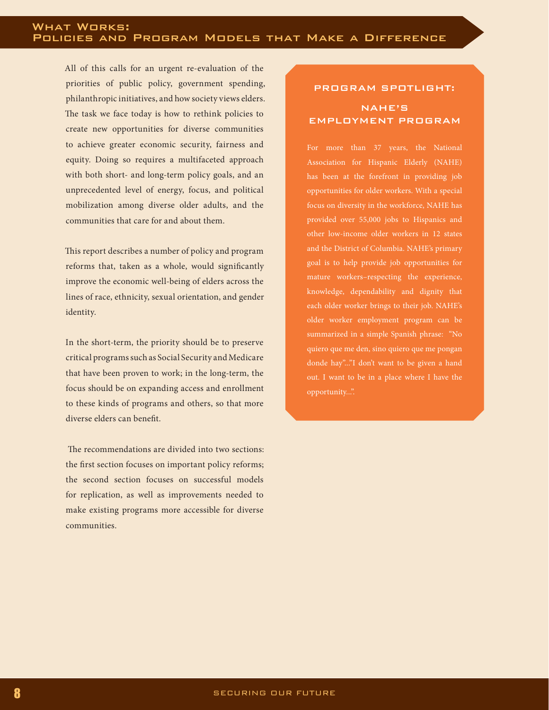All of this calls for an urgent re-evaluation of the priorities of public policy, government spending, philanthropic initiatives, and how society views elders. The task we face today is how to rethink policies to create new opportunities for diverse communities to achieve greater economic security, fairness and equity. Doing so requires a multifaceted approach with both short- and long-term policy goals, and an unprecedented level of energy, focus, and political mobilization among diverse older adults, and the communities that care for and about them.

This report describes a number of policy and program reforms that, taken as a whole, would significantly improve the economic well-being of elders across the lines of race, ethnicity, sexual orientation, and gender identity.

In the short-term, the priority should be to preserve critical programs such as Social Security and Medicare that have been proven to work; in the long-term, the focus should be on expanding access and enrollment to these kinds of programs and others, so that more diverse elders can benefit.

 The recommendations are divided into two sections: the first section focuses on important policy reforms; the second section focuses on successful models for replication, as well as improvements needed to make existing programs more accessible for diverse communities.

# PROGRAM SPOTLIGHT: NAHE'S EMPLOYMENT PROGRAM

Association for Hispanic Elderly (NAHE) has been at the forefront in providing job opportunities for older workers. With a special focus on diversity in the workforce, NAHE has provided over 55,000 jobs to Hispanics and other low-income older workers in 12 states and the District of Columbia. NAHE's primary goal is to help provide job opportunities for mature workers–respecting the experience, knowledge, dependability and dignity that each older worker brings to their job. NAHE's older worker employment program can be summarized in a simple Spanish phrase: "No quiero que me den, sino quiero que me pongan donde hay"..."I don't want to be given a hand out. I want to be in a place where I have the opportunity...".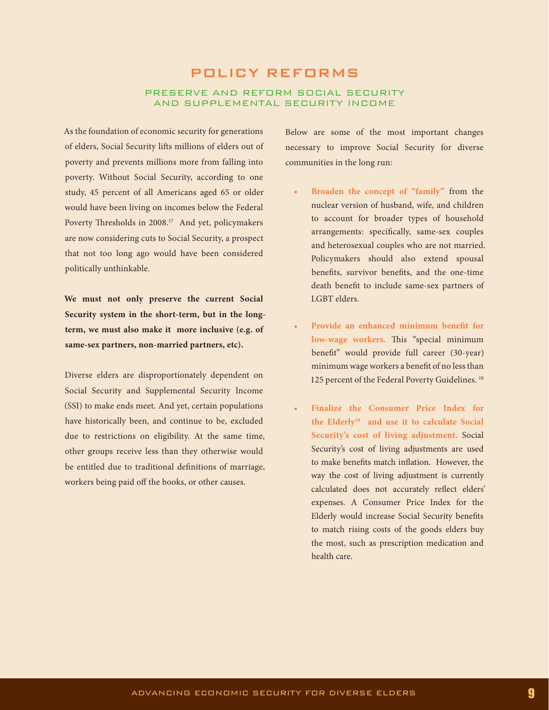# POLICY REFORMS PRESERVE AND REFORM SOCIAL SECURITY AND SUPPLEMENTAL SECURITY INCOME

As the foundation of economic security for generations of elders, Social Security lifts millions of elders out of poverty and prevents millions more from falling into poverty. Without Social Security, according to one study, 45 percent of all Americans aged 65 or older would have been living on incomes below the Federal Poverty Thresholds in 2008.<sup>17</sup> And yet, policymakers are now considering cuts to Social Security, a prospect that not too long ago would have been considered politically unthinkable.

**We must not only preserve the current Social Security system in the short-term, but in the longterm, we must also make it more inclusive (e.g. of same-sex partners, non-married partners, etc).** 

Diverse elders are disproportionately dependent on Social Security and Supplemental Security Income (SSI) to make ends meet. And yet, certain populations have historically been, and continue to be, excluded due to restrictions on eligibility. At the same time, other groups receive less than they otherwise would be entitled due to traditional definitions of marriage, workers being paid off the books, or other causes.

Below are some of the most important changes necessary to improve Social Security for diverse communities in the long run:

- Broaden the concept of "family" from the nuclear version of husband, wife, and children to account for broader types of household arrangements: specifically, same-sex couples and heterosexual couples who are not married. Policymakers should also extend spousal benefits, survivor benefits, and the one-time death benefit to include same-sex partners of LGBT elders.
- Provide an enhanced minimum benefit for **low-wage workers.** This "special minimum benefit" would provide full career (30-year) minimum wage workers a benefit of no less than 125 percent of the Federal Poverty Guidelines.<sup>18</sup>
- **Finalize the Consumer Price Index for the Elderly19 and use it to calculate Social Security's cost of living adjustment.** Social Security's cost of living adjustments are used to make benefits match inflation. However, the way the cost of living adjustment is currently calculated does not accurately reflect elders' expenses. A Consumer Price Index for the Elderly would increase Social Security benefits to match rising costs of the goods elders buy the most, such as prescription medication and health care.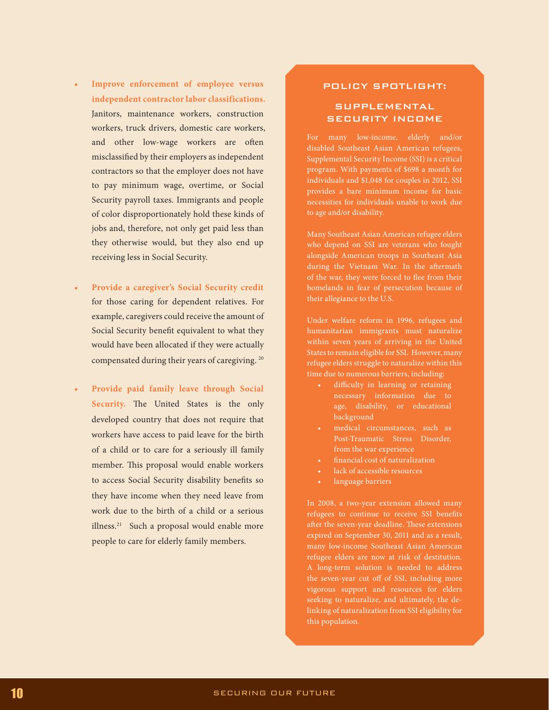- **Improve enforcement of employee versus independent contractor labor classifications.** Janitors, maintenance workers, construction workers, truck drivers, domestic care workers, and other low-wage workers are often misclassified by their employers as independent contractors so that the employer does not have to pay minimum wage, overtime, or Social Security payroll taxes. Immigrants and people of color disproportionately hold these kinds of jobs and, therefore, not only get paid less than they otherwise would, but they also end up receiving less in Social Security.
- Provide a caregiver's Social Security credit for those caring for dependent relatives. For example, caregivers could receive the amount of Social Security benefit equivalent to what they would have been allocated if they were actually compensated during their years of caregiving. 20
- **• Provide paid family leave through Social Security.** The United States is the only developed country that does not require that workers have access to paid leave for the birth of a child or to care for a seriously ill family member. This proposal would enable workers to access Social Security disability benefits so they have income when they need leave from work due to the birth of a child or a serious illness.<sup>21</sup> Such a proposal would enable more people to care for elderly family members.

## POLICY SPOTLIGHT:

## **SUPPLEMENTAL** SECURITY INCOME

For many low-income, elderly and/or disabled Southeast Asian American refugees, Supplemental Security Income (SSI) is a critical program. With payments of \$698 a month for individuals and \$1,048 for couples in 2012, SSI provides a bare minimum income for basic necessities for individuals unable to work due to age and/or disability.

Many Southeast Asian American refugee elders who depend on SSI are veterans who fought alongside American troops in Southeast Asia during the Vietnam War. In the aftermath of the war, they were forced to flee from their homelands in fear of persecution because of their allegiance to the U.S.

Under welfare reform in 1996, refugees and humanitarian immigrants must naturalize within seven years of arriving in the United States to remain eligible for SSI. However, many refugee elders struggle to naturalize within this time due to numerous barriers, including:

- • difficulty in learning or retaining age, disability, or educational background
- medical circumstances, such as Post-Traumatic Stress Disorder, from the war experience
- financial cost of naturalization
- lack of accessible resources
- language barriers

refugees to continue to receive SSI benefits after the seven-year deadline. These extensions expired on September 30, 2011 and as a result, many low-income Southeast Asian American refugee elders are now at risk of destitution. A long-term solution is needed to address the seven-year cut off of SSI, including more vigorous support and resources for elders seeking to naturalize, and ultimately, the delinking of naturalization from SSI eligibility for this population.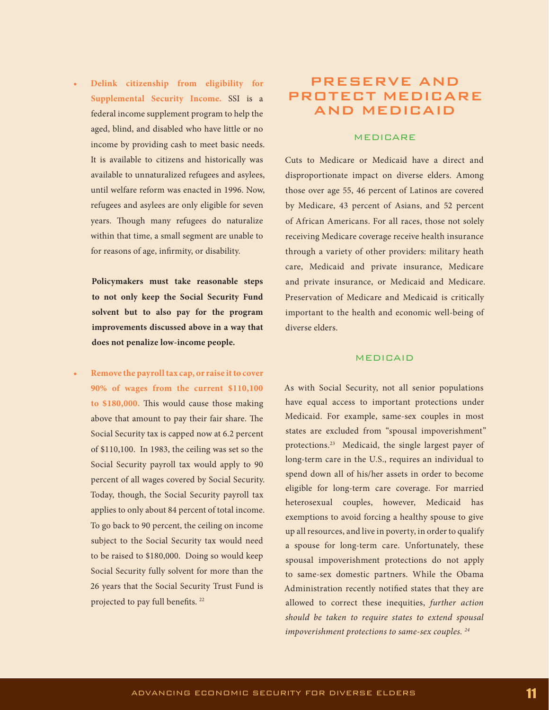**• Delink citizenship from eligibility for Supplemental Security Income.** SSI is a federal income supplement program to help the aged, blind, and disabled who have little or no income by providing cash to meet basic needs. It is available to citizens and historically was available to unnaturalized refugees and asylees, until welfare reform was enacted in 1996. Now, refugees and asylees are only eligible for seven years. Though many refugees do naturalize within that time, a small segment are unable to for reasons of age, infirmity, or disability.

**Policymakers must take reasonable steps to not only keep the Social Security Fund solvent but to also pay for the program improvements discussed above in a way that does not penalize low-income people.**

**• Remove the payroll tax cap, or raise it to cover 90% of wages from the current \$110,100 to \$180,000.** This would cause those making above that amount to pay their fair share. The Social Security tax is capped now at 6.2 percent of \$110,100. In 1983, the ceiling was set so the Social Security payroll tax would apply to 90 percent of all wages covered by Social Security. Today, though, the Social Security payroll tax applies to only about 84 percent of total income. To go back to 90 percent, the ceiling on income subject to the Social Security tax would need to be raised to \$180,000. Doing so would keep Social Security fully solvent for more than the 26 years that the Social Security Trust Fund is projected to pay full benefits.<sup>22</sup>

# PRESERVE AND PROTECT MEDICARE AND MEDICAID

## MEDICARE

Cuts to Medicare or Medicaid have a direct and disproportionate impact on diverse elders. Among those over age 55, 46 percent of Latinos are covered by Medicare, 43 percent of Asians, and 52 percent of African Americans. For all races, those not solely receiving Medicare coverage receive health insurance through a variety of other providers: military heath care, Medicaid and private insurance, Medicare and private insurance, or Medicaid and Medicare. Preservation of Medicare and Medicaid is critically important to the health and economic well-being of diverse elders.

## MEDICAID

As with Social Security, not all senior populations have equal access to important protections under Medicaid. For example, same-sex couples in most states are excluded from "spousal impoverishment" protections.23 Medicaid, the single largest payer of long-term care in the U.S., requires an individual to spend down all of his/her assets in order to become eligible for long-term care coverage. For married heterosexual couples, however, Medicaid has exemptions to avoid forcing a healthy spouse to give up all resources, and live in poverty, in order to qualify a spouse for long-term care. Unfortunately, these spousal impoverishment protections do not apply to same-sex domestic partners. While the Obama Administration recently notified states that they are allowed to correct these inequities, *further action should be taken to require states to extend spousal impoverishment protections to same-sex couples. 24*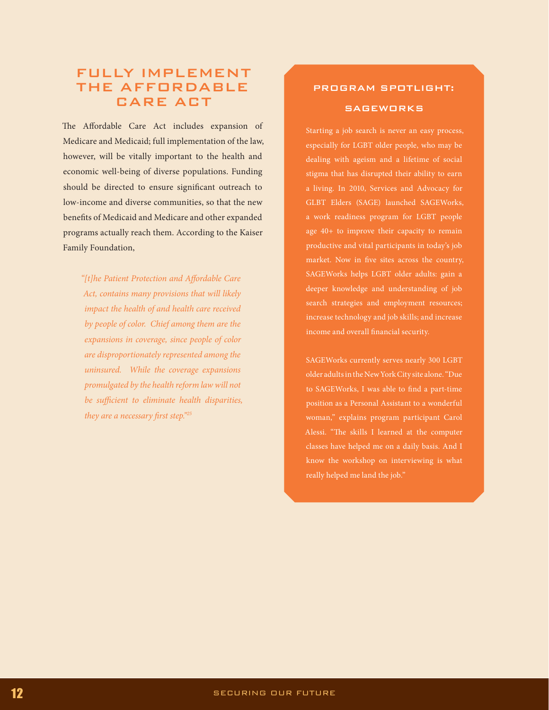# FULLY IMPLEMENT THE AFFORDABLE CARE ACT

The Affordable Care Act includes expansion of Medicare and Medicaid; full implementation of the law, however, will be vitally important to the health and economic well-being of diverse populations. Funding should be directed to ensure significant outreach to low-income and diverse communities, so that the new benefits of Medicaid and Medicare and other expanded programs actually reach them. According to the Kaiser Family Foundation,

*"[t]he Patient Protection and Affordable Care Act, contains many provisions that will likely impact the health of and health care received by people of color. Chief among them are the expansions in coverage, since people of color are disproportionately represented among the uninsured. While the coverage expansions promulgated by the health reform law will not be sufficient to eliminate health disparities, they are a necessary first step."25*

# PROGRAM SPOTLIGHT:

## **SAGEWORKS**

Starting a job search is never an easy process, especially for LGBT older people, who may be dealing with ageism and a lifetime of social stigma that has disrupted their ability to earn a living. In 2010, Services and Advocacy for GLBT Elders (SAGE) launched SAGEWorks, a work readiness program for LGBT people age 40+ to improve their capacity to remain productive and vital participants in today's job SAGEWorks helps LGBT older adults: gain a deeper knowledge and understanding of job search strategies and employment resources; increase technology and job skills; and increase income and overall financial security.

SAGEWorks currently serves nearly 300 LGBT older adults in the New York City site alone. "Due to SAGEWorks, I was able to find a part-time position as a Personal Assistant to a wonderful woman," explains program participant Carol Alessi. "The skills I learned at the computer classes have helped me on a daily basis. And I know the workshop on interviewing is what really helped me land the job."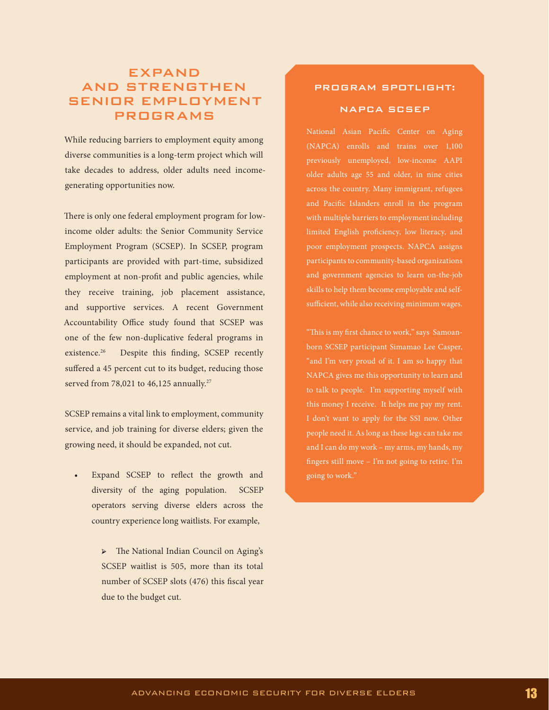# EXPAND AND STRENGTHEN SENIOR EMPLOYMENT PROGRAMS

While reducing barriers to employment equity among diverse communities is a long-term project which will take decades to address, older adults need incomegenerating opportunities now.

There is only one federal employment program for lowincome older adults: the Senior Community Service Employment Program (SCSEP). In SCSEP, program participants are provided with part-time, subsidized employment at non-profit and public agencies, while they receive training, job placement assistance, and supportive services. A recent Government Accountability Office study found that SCSEP was one of the few non-duplicative federal programs in existence.<sup>26</sup> Despite this finding, SCSEP recently suffered a 45 percent cut to its budget, reducing those served from 78,021 to 46,125 annually.<sup>27</sup>

SCSEP remains a vital link to employment, community service, and job training for diverse elders; given the growing need, it should be expanded, not cut.

- Expand SCSEP to reflect the growth and diversity of the aging population. SCSEP operators serving diverse elders across the country experience long waitlists. For example,
	- ➢ The National Indian Council on Aging's SCSEP waitlist is 505, more than its total number of SCSEP slots (476) this fiscal year due to the budget cut.

## PROGRAM SPOTLIGHT:

### NAPCA SCSEP

National Asian Pacific Center on Aging (NAPCA) enrolls and trains over 1,100 previously unemployed, low-income AAPI older adults age 55 and older, in nine cities across the country. Many immigrant, refugees and Pacific Islanders enroll in the program with multiple barriers to employment including limited English proficiency, low literacy, and poor employment prospects. NAPCA assigns participants to community-based organizations and government agencies to learn on-the-job skills to help them become employable and selfsufficient, while also receiving minimum wages.

born SCSEP participant Simamao Lee Casper, "and I'm very proud of it. I am so happy that NAPCA gives me this opportunity to learn and to talk to people. I'm supporting myself with this money I receive. It helps me pay my rent. I don't want to apply for the SSI now. Other people need it. As long as these legs can take me and I can do my work – my arms, my hands, my fingers still move – I'm not going to retire. I'm going to work."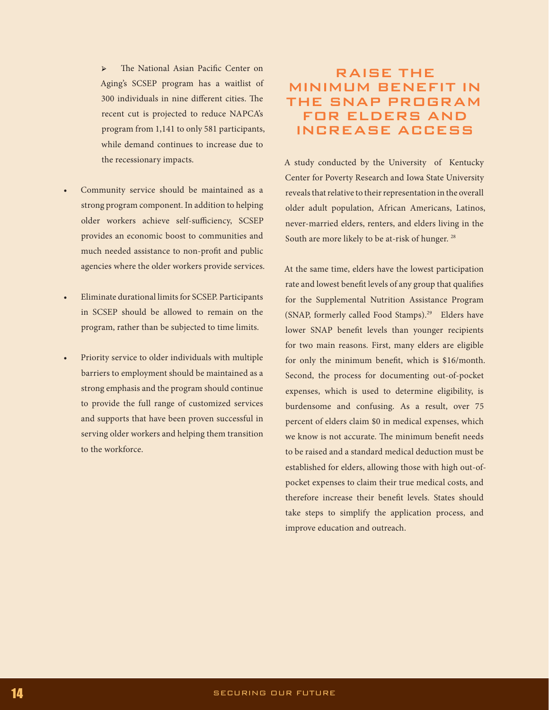➢ The National Asian Pacific Center on Aging's SCSEP program has a waitlist of 300 individuals in nine different cities. The recent cut is projected to reduce NAPCA's program from 1,141 to only 581 participants, while demand continues to increase due to the recessionary impacts.

- Community service should be maintained as a strong program component. In addition to helping older workers achieve self-sufficiency, SCSEP provides an economic boost to communities and much needed assistance to non-profit and public agencies where the older workers provide services.
- Eliminate durational limits for SCSEP. Participants in SCSEP should be allowed to remain on the program, rather than be subjected to time limits.
- Priority service to older individuals with multiple barriers to employment should be maintained as a strong emphasis and the program should continue to provide the full range of customized services and supports that have been proven successful in serving older workers and helping them transition to the workforce.

# RAISE THE MINIMUM BENEFIT IN THE SNAP PROGRAM FOR ELDERS AND INCREASE ACCESS

A study conducted by the University of Kentucky Center for Poverty Research and Iowa State University reveals that relative to their representation in the overall older adult population, African Americans, Latinos, never-married elders, renters, and elders living in the South are more likely to be at-risk of hunger. 28

At the same time, elders have the lowest participation rate and lowest benefit levels of any group that qualifies for the Supplemental Nutrition Assistance Program (SNAP, formerly called Food Stamps).<sup>29</sup> Elders have lower SNAP benefit levels than younger recipients for two main reasons. First, many elders are eligible for only the minimum benefit, which is \$16/month. Second, the process for documenting out-of-pocket expenses, which is used to determine eligibility, is burdensome and confusing. As a result, over 75 percent of elders claim \$0 in medical expenses, which we know is not accurate. The minimum benefit needs to be raised and a standard medical deduction must be established for elders, allowing those with high out-ofpocket expenses to claim their true medical costs, and therefore increase their benefit levels. States should take steps to simplify the application process, and improve education and outreach.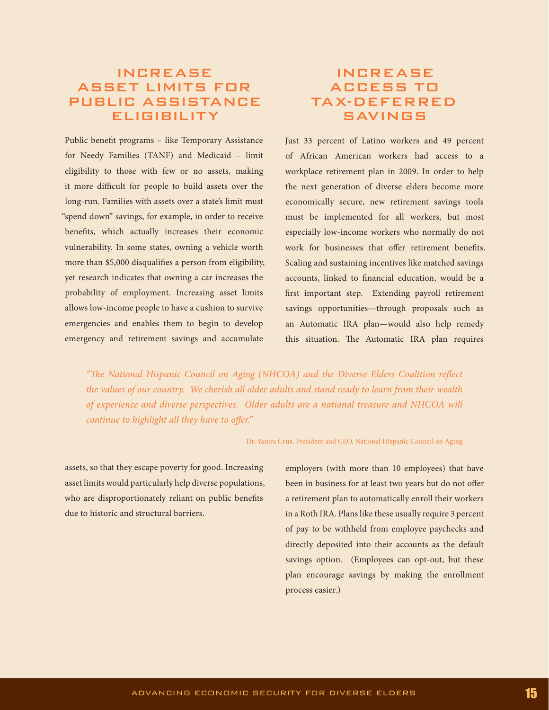# INCREASE ASSET LIMITS FOR PUBLIC ASSISTANCE ELIGIBILITY

Public benefit programs – like Temporary Assistance for Needy Families (TANF) and Medicaid – limit eligibility to those with few or no assets, making it more difficult for people to build assets over the long-run. Families with assets over a state's limit must "spend down" savings, for example, in order to receive benefits, which actually increases their economic vulnerability. In some states, owning a vehicle worth more than \$5,000 disqualifies a person from eligibility, yet research indicates that owning a car increases the probability of employment. Increasing asset limits allows low-income people to have a cushion to survive emergencies and enables them to begin to develop emergency and retirement savings and accumulate

# INCREASE ACCESS TO TAX-DEFERRED SAVINGS

Just 33 percent of Latino workers and 49 percent of African American workers had access to a workplace retirement plan in 2009. In order to help the next generation of diverse elders become more economically secure, new retirement savings tools must be implemented for all workers, but most especially low-income workers who normally do not work for businesses that offer retirement benefits. Scaling and sustaining incentives like matched savings accounts, linked to financial education, would be a first important step. Extending payroll retirement savings opportunities—through proposals such as an Automatic IRA plan—would also help remedy this situation. The Automatic IRA plan requires

*"The National Hispanic Council on Aging (NHCOA) and the Diverse Elders Coalition reflect the values of our country. We cherish all older adults and stand ready to learn from their wealth of experience and diverse perspectives. Older adults are a national treasure and NHCOA will continue to highlight all they have to offer."* 

- Dr. Yanira Cruz, President and CEO, National Hispanic Council on Aging

assets, so that they escape poverty for good. Increasing asset limits would particularly help diverse populations, who are disproportionately reliant on public benefits due to historic and structural barriers.

employers (with more than 10 employees) that have been in business for at least two years but do not offer a retirement plan to automatically enroll their workers in a Roth IRA. Plans like these usually require 3 percent of pay to be withheld from employee paychecks and directly deposited into their accounts as the default savings option. (Employees can opt-out, but these plan encourage savings by making the enrollment process easier.)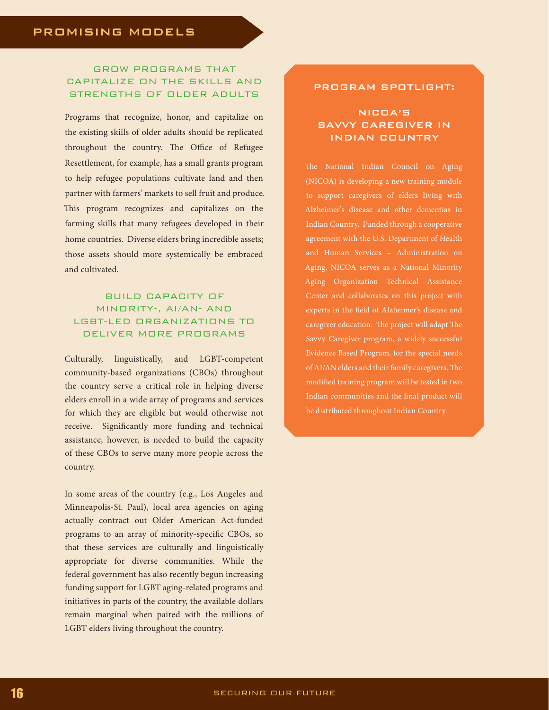## GROW PROGRAMS THAT CAPITALIZE ON THE SKILLS AND STRENGTHS OF OLDER ADULTS

Programs that recognize, honor, and capitalize on the existing skills of older adults should be replicated throughout the country. The Office of Refugee Resettlement, for example, has a small grants program to help refugee populations cultivate land and then partner with farmers' markets to sell fruit and produce. This program recognizes and capitalizes on the farming skills that many refugees developed in their home countries. Diverse elders bring incredible assets; those assets should more systemically be embraced and cultivated.

## BUILD CAPACITY OF MINORITY-, AI/AN- AND LGBT-LED ORGANIZATIONS TO DELIVER MORE PROGRAMS

Culturally, linguistically, and LGBT-competent community-based organizations (CBOs) throughout the country serve a critical role in helping diverse elders enroll in a wide array of programs and services for which they are eligible but would otherwise not receive. Significantly more funding and technical assistance, however, is needed to build the capacity of these CBOs to serve many more people across the country.

In some areas of the country (e.g., Los Angeles and Minneapolis-St. Paul), local area agencies on aging actually contract out Older American Act-funded programs to an array of minority-specific CBOs, so that these services are culturally and linguistically appropriate for diverse communities. While the federal government has also recently begun increasing funding support for LGBT aging-related programs and initiatives in parts of the country, the available dollars remain marginal when paired with the millions of LGBT elders living throughout the country.

## PROGRAM SPOTLIGHT:

## NICOA'S SAVVY CAREGIVER IN INDIAN COUNTRY

The National Indian Council on Aging (NICOA) is developing a new training module to support caregivers of elders living with Alzheimer's disease and other dementias in Indian Country. Funded through a cooperative agreement with the U.S. Department of Health and Human Services – Administration on Aging, NICOA serves as a National Minority Aging Organization Technical Assistance Center and collaborates on this project with experts in the field of Alzheimer's disease and caregiver education. The project will adapt The Savvy Caregiver program, a widely successful Evidence Based Program, for the special needs of AI/AN elders and their family caregivers. The modified training program will be tested in two Indian communities and the final product will be distributed throughout Indian Country.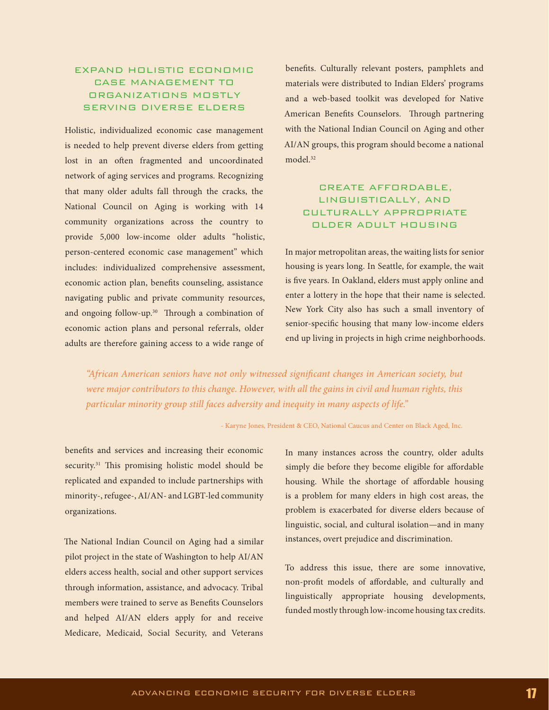## EXPAND HOLISTIC ECONOMIC CASE MANAGEMENT TO ORGANIZATIONS MOSTLY SERVING DIVERSE ELDERS

Holistic, individualized economic case management is needed to help prevent diverse elders from getting lost in an often fragmented and uncoordinated network of aging services and programs. Recognizing that many older adults fall through the cracks, the National Council on Aging is working with 14 community organizations across the country to provide 5,000 low-income older adults "holistic, person-centered economic case management" which includes: individualized comprehensive assessment, economic action plan, benefits counseling, assistance navigating public and private community resources, and ongoing follow-up.<sup>30</sup> Through a combination of economic action plans and personal referrals, older adults are therefore gaining access to a wide range of

benefits. Culturally relevant posters, pamphlets and materials were distributed to Indian Elders' programs and a web-based toolkit was developed for Native American Benefits Counselors. Through partnering with the National Indian Council on Aging and other AI/AN groups, this program should become a national model.32

## CREATE AFFORDABLE, LINGUISTICALLY, AND CULTURALLY APPROPRIATE OLDER ADULT HOUSING

In major metropolitan areas, the waiting lists for senior housing is years long. In Seattle, for example, the wait is five years. In Oakland, elders must apply online and enter a lottery in the hope that their name is selected. New York City also has such a small inventory of senior-specific housing that many low-income elders end up living in projects in high crime neighborhoods.

*"African American seniors have not only witnessed significant changes in American society, but were major contributors to this change. However, with all the gains in civil and human rights, this particular minority group still faces adversity and inequity in many aspects of life."* 

- Karyne Jones, President & CEO, National Caucus and Center on Black Aged, Inc.

benefits and services and increasing their economic security.<sup>31</sup> This promising holistic model should be replicated and expanded to include partnerships with minority-, refugee-, AI/AN- and LGBT-led community organizations.

The National Indian Council on Aging had a similar pilot project in the state of Washington to help AI/AN elders access health, social and other support services through information, assistance, and advocacy. Tribal members were trained to serve as Benefits Counselors and helped AI/AN elders apply for and receive Medicare, Medicaid, Social Security, and Veterans

In many instances across the country, older adults simply die before they become eligible for affordable housing. While the shortage of affordable housing is a problem for many elders in high cost areas, the problem is exacerbated for diverse elders because of linguistic, social, and cultural isolation—and in many instances, overt prejudice and discrimination.

To address this issue, there are some innovative, non-profit models of affordable, and culturally and linguistically appropriate housing developments, funded mostly through low-income housing tax credits.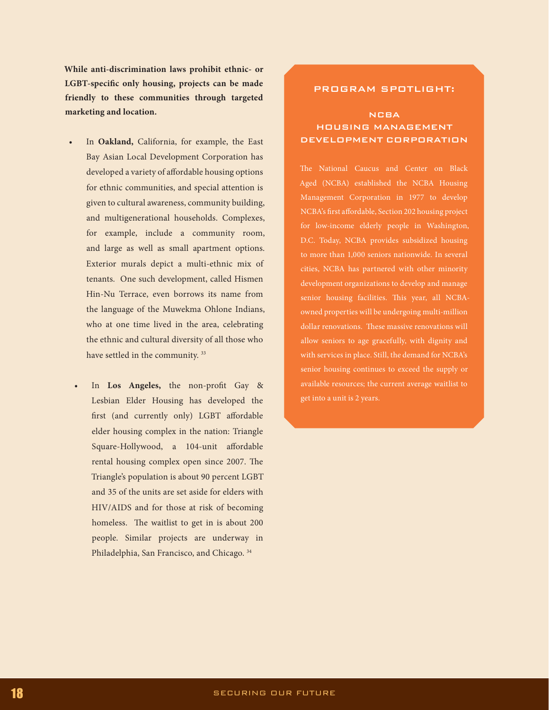**While anti-discrimination laws prohibit ethnic- or LGBT-specific only housing, projects can be made friendly to these communities through targeted marketing and location.**

- In Oakland, California, for example, the East Bay Asian Local Development Corporation has developed a variety of affordable housing options for ethnic communities, and special attention is given to cultural awareness, community building, and multigenerational households. Complexes, for example, include a community room, and large as well as small apartment options. Exterior murals depict a multi-ethnic mix of tenants. One such development, called Hismen Hin-Nu Terrace, even borrows its name from the language of the Muwekma Ohlone Indians, who at one time lived in the area, celebrating the ethnic and cultural diversity of all those who have settled in the community.<sup>33</sup>
- In Los Angeles, the non-profit Gay & Lesbian Elder Housing has developed the first (and currently only) LGBT affordable elder housing complex in the nation: Triangle Square-Hollywood, a 104-unit affordable rental housing complex open since 2007. The Triangle's population is about 90 percent LGBT and 35 of the units are set aside for elders with HIV/AIDS and for those at risk of becoming homeless. The waitlist to get in is about 200 people. Similar projects are underway in Philadelphia, San Francisco, and Chicago. 34

### PROGRAM SPOTLIGHT:

## NCBA HOUSING MANAGEMENT DEVELOPMENT CORPORATION

The National Caucus and Center on Black Aged (NCBA) established the NCBA Housing Management Corporation in 1977 to develop NCBA's first affordable, Section 202 housing project for low-income elderly people in Washington, D.C. Today, NCBA provides subsidized housing cities, NCBA has partnered with other minority development organizations to develop and manage senior housing facilities. This year, all NCBAowned properties will be undergoing multi-million allow seniors to age gracefully, with dignity and with services in place. Still, the demand for NCBA's senior housing continues to exceed the supply or available resources; the current average waitlist to get into a unit is 2 years.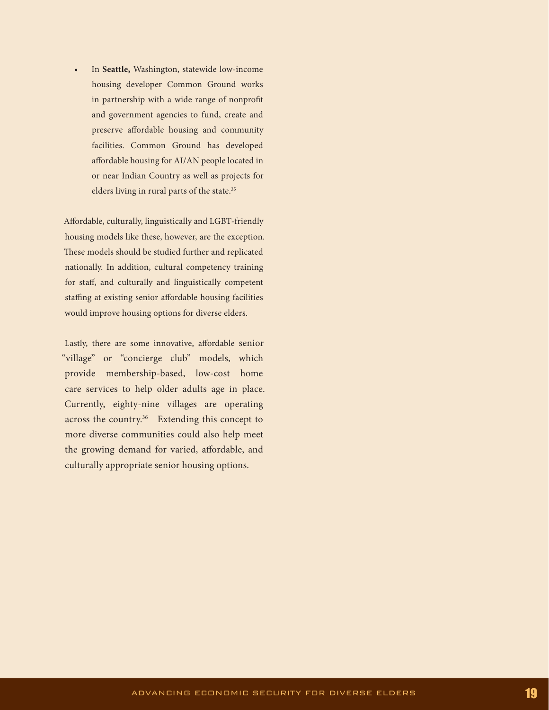In Seattle, Washington, statewide low-income housing developer Common Ground works in partnership with a wide range of nonprofit and government agencies to fund, create and preserve affordable housing and community facilities. Common Ground has developed affordable housing for AI/AN people located in or near Indian Country as well as projects for elders living in rural parts of the state.<sup>35</sup>

Affordable, culturally, linguistically and LGBT-friendly housing models like these, however, are the exception. These models should be studied further and replicated nationally. In addition, cultural competency training for staff, and culturally and linguistically competent staffing at existing senior affordable housing facilities would improve housing options for diverse elders.

Lastly, there are some innovative, affordable senior "village" or "concierge club" models, which provide membership-based, low-cost home care services to help older adults age in place. Currently, eighty-nine villages are operating across the country.<sup>36</sup> Extending this concept to more diverse communities could also help meet the growing demand for varied, affordable, and culturally appropriate senior housing options.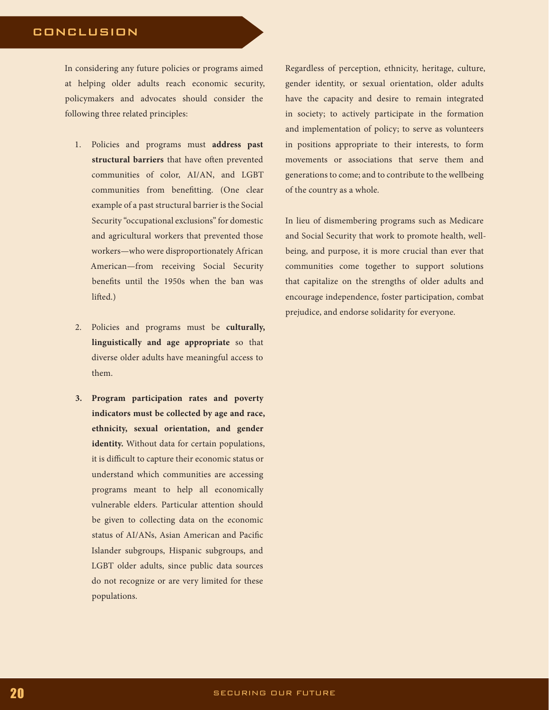## CONCLUSION

In considering any future policies or programs aimed at helping older adults reach economic security, policymakers and advocates should consider the following three related principles:

- 1. Policies and programs must **address past structural barriers** that have often prevented communities of color, AI/AN, and LGBT communities from benefitting. (One clear example of a past structural barrier is the Social Security "occupational exclusions" for domestic and agricultural workers that prevented those workers—who were disproportionately African American—from receiving Social Security benefits until the 1950s when the ban was lifted.)
- 2. Policies and programs must be **culturally, linguistically and age appropriate** so that diverse older adults have meaningful access to them.
- **3. Program participation rates and poverty indicators must be collected by age and race, ethnicity, sexual orientation, and gender identity.** Without data for certain populations, it is difficult to capture their economic status or understand which communities are accessing programs meant to help all economically vulnerable elders. Particular attention should be given to collecting data on the economic status of AI/ANs, Asian American and Pacific Islander subgroups, Hispanic subgroups, and LGBT older adults, since public data sources do not recognize or are very limited for these populations.

Regardless of perception, ethnicity, heritage, culture, gender identity, or sexual orientation, older adults have the capacity and desire to remain integrated in society; to actively participate in the formation and implementation of policy; to serve as volunteers in positions appropriate to their interests, to form movements or associations that serve them and generations to come; and to contribute to the wellbeing of the country as a whole.

In lieu of dismembering programs such as Medicare and Social Security that work to promote health, wellbeing, and purpose, it is more crucial than ever that communities come together to support solutions that capitalize on the strengths of older adults and encourage independence, foster participation, combat prejudice, and endorse solidarity for everyone.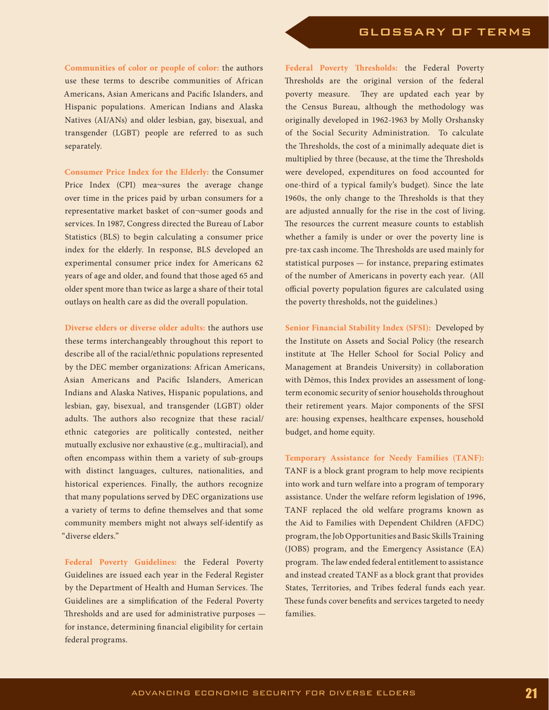**Communities of color or people of color:** the authors use these terms to describe communities of African Americans, Asian Americans and Pacific Islanders, and Hispanic populations. American Indians and Alaska Natives (AI/ANs) and older lesbian, gay, bisexual, and transgender (LGBT) people are referred to as such separately.

**Consumer Price Index for the Elderly:** the Consumer Price Index (CPI) mea¬sures the average change over time in the prices paid by urban consumers for a representative market basket of con¬sumer goods and services. In 1987, Congress directed the Bureau of Labor Statistics (BLS) to begin calculating a consumer price index for the elderly. In response, BLS developed an experimental consumer price index for Americans 62 years of age and older, and found that those aged 65 and older spent more than twice as large a share of their total outlays on health care as did the overall population.

**Diverse elders or diverse older adults:** the authors use these terms interchangeably throughout this report to describe all of the racial/ethnic populations represented by the DEC member organizations: African Americans, Asian Americans and Pacific Islanders, American Indians and Alaska Natives, Hispanic populations, and lesbian, gay, bisexual, and transgender (LGBT) older adults. The authors also recognize that these racial/ ethnic categories are politically contested, neither mutually exclusive nor exhaustive (e.g., multiracial), and often encompass within them a variety of sub-groups with distinct languages, cultures, nationalities, and historical experiences. Finally, the authors recognize that many populations served by DEC organizations use a variety of terms to define themselves and that some community members might not always self-identify as "diverse elders."

**Federal Poverty Guidelines:** the Federal Poverty Guidelines are issued each year in the Federal Register by the Department of Health and Human Services. The Guidelines are a simplification of the Federal Poverty Thresholds and are used for administrative purposes for instance, determining financial eligibility for certain federal programs.

**Federal Poverty Thresholds:** the Federal Poverty Thresholds are the original version of the federal poverty measure. They are updated each year by the Census Bureau, although the methodology was originally developed in 1962-1963 by Molly Orshansky of the Social Security Administration. To calculate the Thresholds, the cost of a minimally adequate diet is multiplied by three (because, at the time the Thresholds were developed, expenditures on food accounted for one-third of a typical family's budget). Since the late 1960s, the only change to the Thresholds is that they are adjusted annually for the rise in the cost of living. The resources the current measure counts to establish whether a family is under or over the poverty line is pre-tax cash income. The Thresholds are used mainly for statistical purposes — for instance, preparing estimates of the number of Americans in poverty each year. (All official poverty population figures are calculated using the poverty thresholds, not the guidelines.)

**Senior Financial Stability Index (SFSI):** Developed by the Institute on Assets and Social Policy (the research institute at The Heller School for Social Policy and Management at Brandeis University) in collaboration with Dēmos, this Index provides an assessment of longterm economic security of senior households throughout their retirement years. Major components of the SFSI are: housing expenses, healthcare expenses, household budget, and home equity.

**Temporary Assistance for Needy Families (TANF):**  TANF is a block grant program to help move recipients into work and turn welfare into a program of temporary assistance. Under the welfare reform legislation of 1996, TANF replaced the old welfare programs known as the Aid to Families with Dependent Children (AFDC) program, the Job Opportunities and Basic Skills Training (JOBS) program, and the Emergency Assistance (EA) program. The law ended federal entitlement to assistance and instead created TANF as a block grant that provides States, Territories, and Tribes federal funds each year. These funds cover benefits and services targeted to needy families.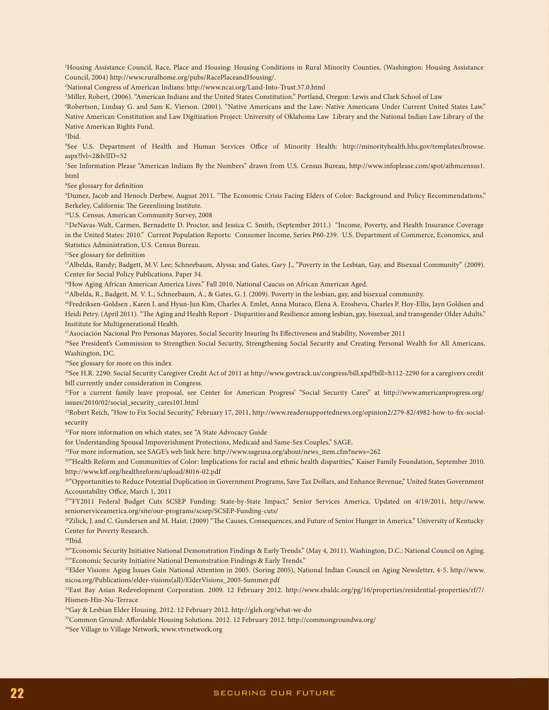1 Housing Assistance Council, Race, Place and Housing: Housing Conditions in Rural Minority Counties, (Washington: Housing Assistance Council, 2004) http://www.ruralhome.org/pubs/RacePlaceandHousing/.

2 National Congress of American Indians: http://www.ncai.org/Land-Into-Trust.57.0.html

3 Miller, Robert, (2006). "American Indians and the United States Constitution." Portland, Oregon: Lewis and Clark School of Law

4 Robertson, Lindsay G. and Sam K. Vierson. (2001). "Native Americans and the Law: Native Americans Under Current United States Law." Native American Constitution and Law Digitization Project: University of Oklahoma Law Library and the National Indian Law Library of the Native American Rights Fund.

5 Ibid.

6 See U.S. Department of Health and Human Services Office of Minority Health: http://minorityhealth.hhs.gov/templates/browse. aspx?lvl=2&lvlID=52

7 See Information Please "American Indians By the Numbers" drawn from U.S. Census Bureau, http://www.infoplease.com/spot/aihmcensus1. html

8 See glossary for definition

9 Dumez, Jacob and Henoch Derbew, August 2011. "The Economic Crisis Facing Elders of Color: Background and Policy Recommendations," Berkeley, California: The Greenlining Institute.

10U.S. Census, American Community Survey, 2008

11DeNavas-Walt, Carmen, Bernadette D. Proctor, and Jessica C. Smith, (September 2011.) "Income, Poverty, and Health Insurance Coverage in the United States: 2010." Current Population Reports: Consumer Income, Series P60-239. U.S. Department of Commerce, Economics, and Statistics Administration, U.S. Census Bureau.

12See glossary for definition

13Albelda, Randy; Badgett, M.V. Lee; Schneebaum, Alyssa; and Gates, Gary J., "Poverty in the Lesbian, Gay, and Bisexual Community" (2009). Center for Social Policy Publications. Paper 34.

14How Aging African American America Lives." Fall 2010. National Caucus on African American Aged.

15Albelda, R., Badgett, M. V. L., Schneebaum, A., & Gates, G. J. (2009). Poverty in the lesbian, gay, and bisexual community.

16Fredriksen-Goldsen , Karen I. and Hyun-Jun Kim, Charles A. Emlet, Anna Muraco, Elena A. Erosheva, Charles P. Hoy-Ellis, Jayn Goldsen and Heidi Petry. (April 2011). "The Aging and Health Report - Disparities and Resilience among lesbian, gay, bisexual, and transgender Older Adults." Insititute for Multigenerational Health.

17Asociación Nacional Pro Personas Mayores, Social Security Insuring Its Effectiveness and Stability, November 2011

<sup>18</sup>See President's Commission to Strengthen Social Security, Strengthening Social Security and Creating Personal Wealth for All Americans, Washington, DC.

<sup>19</sup>See glossary for more on this index

<sup>20</sup>See H.R. 2290: Social Security Caregiver Credit Act of 2011 at http://www.govtrack.us/congress/bill.xpd?bill=h112-2290 for a caregivers credit bill currently under consideration in Congress.

21For a current family leave proposal, see Center for American Progress' "Social Security Cares" at http://www.americanprogress.org/ issues/2010/02/social\_security\_cares101.html

22Robert Reich, "How to Fix Social Security," February 17, 2011, http://www.readersupportednews.org/opinion2/279-82/4982-how-to-fix-socialsecurity

<sup>23</sup>For more information on which states, see "A State Advocacy Guide

for Understanding Spousal Impoverishment Protections, Medicaid and Same-Sex Couples," SAGE.

 $24$ For more information, see SAGE's web link here: http://www.sageusa.org/about/news\_item.cfm?news=262

25"Health Reform and Communities of Color: Implications for racial and ethnic health disparities," Kaiser Family Foundation, September 2010. http://www.kff.org/healthreform/upload/8016-02.pdf

<sup>26"</sup>Opportunities to Reduce Potential Duplication in Government Programs, Save Tax Dollars, and Enhance Revenue," United States Government Accountability Office, March 1, 2011

27"FY2011 Federal Budget Cuts SCSEP Funding: State-by-State Impact," Senior Services America, Updated on 4/19/2011, http://www. seniorserviceamerica.org/site/our-programs/scsep/SCSEP-Funding-cuts/

28Zilick, J. and C. Gundersen and M. Haist. (2009) "The Causes, Consequences, and Future of Senior Hunger in America." University of Kentucky Center for Poverty Research.

 $29$ Ibid.

30"Economic Security Initiative National Demonstration Findings & Early Trends." (May 4, 2011). Washington, D.C.: National Council on Aging. <sup>31</sup>"Economic Security Initiative National Demonstration Findings & Early Trends."

<sup>32</sup>Elder Visions: Aging Issues Gain National Attention in 2005. (Soring 2005), National Indian Council on Aging Newsletter, 4-5. http://www. nicoa.org/Publications/elder-visions(all)/ElderVisions\_2005-Summer.pdf

33East Bay Asian Redevelopment Corporation. 2009. 12 February 2012. http://www.ebaldc.org/pg/16/properties/residential-properties/rf/7/ Hismen-Hin-Nu-Terrace

34Gay & Lesbian Elder Housing. 2012. 12 February 2012. http://gleh.org/what-we-do

35Common Ground: Affordable Housing Solutions. 2012. 12 February 2012. http://commongroundwa.org/

36See Village to Village Network, www.vtvnetwork.org